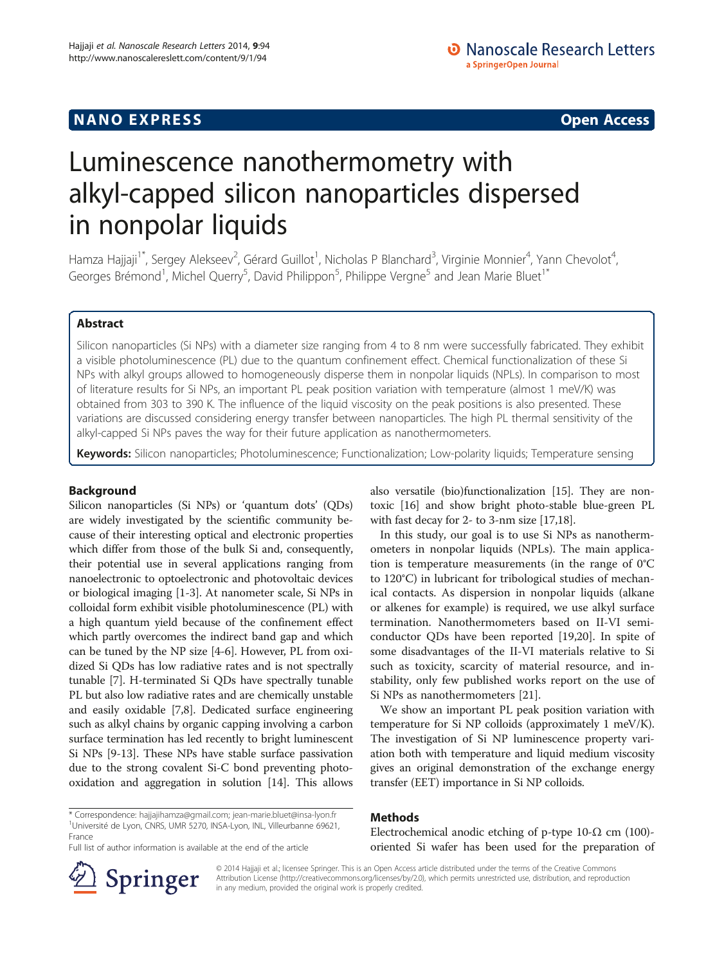## **NANO EXPRESS** Open Access and the set of the set of the set of the set of the set of the set of the set of the set of the set of the set of the set of the set of the set of the set of the set of the set of the set of the

# Luminescence nanothermometry with alkyl-capped silicon nanoparticles dispersed in nonpolar liquids

Hamza Hajjaji<sup>1\*</sup>, Sergey Alekseev<sup>2</sup>, Gérard Guillot<sup>1</sup>, Nicholas P Blanchard<sup>3</sup>, Virginie Monnier<sup>4</sup>, Yann Chevolot<sup>4</sup> , Georges Brémond<sup>1</sup>, Michel Querry<sup>5</sup>, David Philippon<sup>5</sup>, Philippe Vergne<sup>5</sup> and Jean Marie Bluet<sup>1\*</sup>

## Abstract

Silicon nanoparticles (Si NPs) with a diameter size ranging from 4 to 8 nm were successfully fabricated. They exhibit a visible photoluminescence (PL) due to the quantum confinement effect. Chemical functionalization of these Si NPs with alkyl groups allowed to homogeneously disperse them in nonpolar liquids (NPLs). In comparison to most of literature results for Si NPs, an important PL peak position variation with temperature (almost 1 meV/K) was obtained from 303 to 390 K. The influence of the liquid viscosity on the peak positions is also presented. These variations are discussed considering energy transfer between nanoparticles. The high PL thermal sensitivity of the alkyl-capped Si NPs paves the way for their future application as nanothermometers.

Keywords: Silicon nanoparticles; Photoluminescence; Functionalization; Low-polarity liquids; Temperature sensing

## Background

Silicon nanoparticles (Si NPs) or 'quantum dots' (QDs) are widely investigated by the scientific community because of their interesting optical and electronic properties which differ from those of the bulk Si and, consequently, their potential use in several applications ranging from nanoelectronic to optoelectronic and photovoltaic devices or biological imaging [[1-3\]](#page-5-0). At nanometer scale, Si NPs in colloidal form exhibit visible photoluminescence (PL) with a high quantum yield because of the confinement effect which partly overcomes the indirect band gap and which can be tuned by the NP size [[4-6\]](#page-5-0). However, PL from oxidized Si QDs has low radiative rates and is not spectrally tunable [\[7\]](#page-5-0). H-terminated Si QDs have spectrally tunable PL but also low radiative rates and are chemically unstable and easily oxidable [\[7,8\]](#page-5-0). Dedicated surface engineering such as alkyl chains by organic capping involving a carbon surface termination has led recently to bright luminescent Si NPs [\[9-13](#page-5-0)]. These NPs have stable surface passivation due to the strong covalent Si-C bond preventing photooxidation and aggregation in solution [\[14\]](#page-5-0). This allows

also versatile (bio)functionalization [\[15\]](#page-5-0). They are nontoxic [\[16](#page-5-0)] and show bright photo-stable blue-green PL with fast decay for 2- to 3-nm size [\[17,18](#page-5-0)].

In this study, our goal is to use Si NPs as nanothermometers in nonpolar liquids (NPLs). The main application is temperature measurements (in the range of 0°C to 120°C) in lubricant for tribological studies of mechanical contacts. As dispersion in nonpolar liquids (alkane or alkenes for example) is required, we use alkyl surface termination. Nanothermometers based on II-VI semiconductor QDs have been reported [[19,20](#page-5-0)]. In spite of some disadvantages of the II-VI materials relative to Si such as toxicity, scarcity of material resource, and instability, only few published works report on the use of Si NPs as nanothermometers [\[21\]](#page-5-0).

We show an important PL peak position variation with temperature for Si NP colloids (approximately 1 meV/K). The investigation of Si NP luminescence property variation both with temperature and liquid medium viscosity gives an original demonstration of the exchange energy transfer (EET) importance in Si NP colloids.

## Methods

Electrochemical anodic etching of p-type 10- $Ω$  cm (100)oriented Si wafer has been used for the preparation of

Full list of author information is available at the end of the article



© 2014 Hajjaji et al.; licensee Springer. This is an Open Access article distributed under the terms of the Creative Commons Attribution License [\(http://creativecommons.org/licenses/by/2.0\)](http://creativecommons.org/licenses/by/2.0), which permits unrestricted use, distribution, and reproduction in any medium, provided the original work is properly credited.

<sup>\*</sup> Correspondence: [hajjajihamza@gmail.com;](mailto:hajjajihamza@gmail.com) [jean-marie.bluet@insa-lyon.fr](mailto:jean-marie.bluet@insa-lyon.fr) <sup>1</sup> <sup>1</sup>Université de Lyon, CNRS, UMR 5270, INSA-Lyon, INL, Villeurbanne 69621, France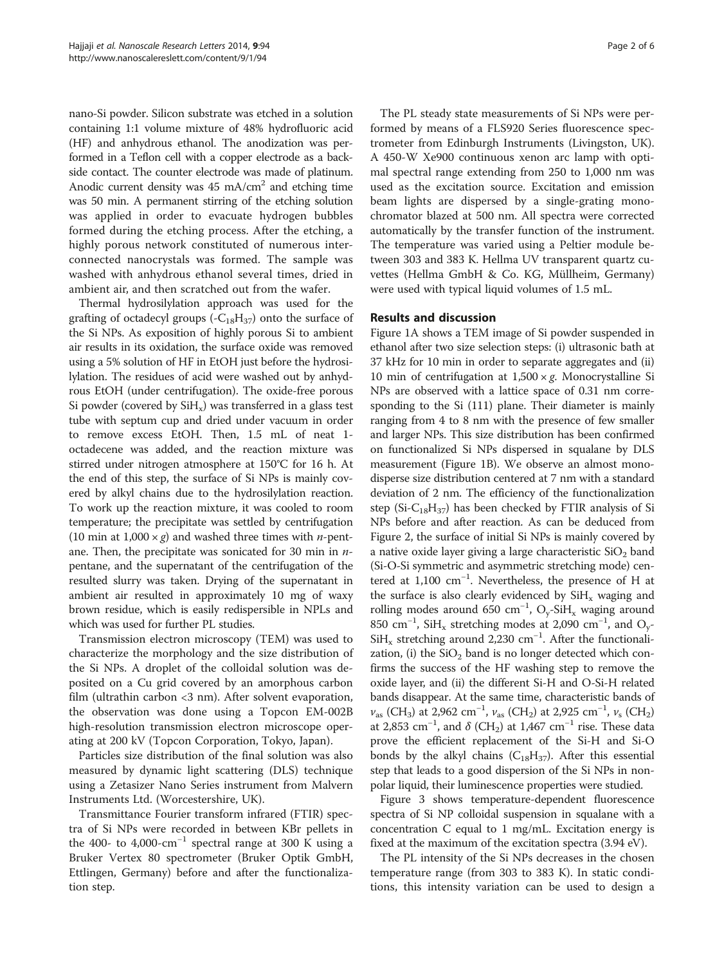nano-Si powder. Silicon substrate was etched in a solution containing 1:1 volume mixture of 48% hydrofluoric acid (HF) and anhydrous ethanol. The anodization was performed in a Teflon cell with a copper electrode as a backside contact. The counter electrode was made of platinum. Anodic current density was  $45 \text{ mA/cm}^2$  and etching time was 50 min. A permanent stirring of the etching solution was applied in order to evacuate hydrogen bubbles formed during the etching process. After the etching, a highly porous network constituted of numerous interconnected nanocrystals was formed. The sample was washed with anhydrous ethanol several times, dried in ambient air, and then scratched out from the wafer.

Thermal hydrosilylation approach was used for the grafting of octadecyl groups  $(-C_{18}H_{37})$  onto the surface of the Si NPs. As exposition of highly porous Si to ambient air results in its oxidation, the surface oxide was removed using a 5% solution of HF in EtOH just before the hydrosilylation. The residues of acid were washed out by anhydrous EtOH (under centrifugation). The oxide-free porous Si powder (covered by  $SiH<sub>x</sub>$ ) was transferred in a glass test tube with septum cup and dried under vacuum in order to remove excess EtOH. Then, 1.5 mL of neat 1 octadecene was added, and the reaction mixture was stirred under nitrogen atmosphere at 150°C for 16 h. At the end of this step, the surface of Si NPs is mainly covered by alkyl chains due to the hydrosilylation reaction. To work up the reaction mixture, it was cooled to room temperature; the precipitate was settled by centrifugation (10 min at  $1,000 \times g$ ) and washed three times with *n*-pentane. Then, the precipitate was sonicated for 30 min in  $n$ pentane, and the supernatant of the centrifugation of the resulted slurry was taken. Drying of the supernatant in ambient air resulted in approximately 10 mg of waxy brown residue, which is easily redispersible in NPLs and which was used for further PL studies.

Transmission electron microscopy (TEM) was used to characterize the morphology and the size distribution of the Si NPs. A droplet of the colloidal solution was deposited on a Cu grid covered by an amorphous carbon film (ultrathin carbon <3 nm). After solvent evaporation, the observation was done using a Topcon EM-002B high-resolution transmission electron microscope operating at 200 kV (Topcon Corporation, Tokyo, Japan).

Particles size distribution of the final solution was also measured by dynamic light scattering (DLS) technique using a Zetasizer Nano Series instrument from Malvern Instruments Ltd. (Worcestershire, UK).

Transmittance Fourier transform infrared (FTIR) spectra of Si NPs were recorded in between KBr pellets in the 400- to 4,000-cm<sup>-1</sup> spectral range at 300 K using a Bruker Vertex 80 spectrometer (Bruker Optik GmbH, Ettlingen, Germany) before and after the functionalization step.

The PL steady state measurements of Si NPs were performed by means of a FLS920 Series fluorescence spectrometer from Edinburgh Instruments (Livingston, UK). A 450-W Xe900 continuous xenon arc lamp with optimal spectral range extending from 250 to 1,000 nm was used as the excitation source. Excitation and emission beam lights are dispersed by a single-grating monochromator blazed at 500 nm. All spectra were corrected automatically by the transfer function of the instrument. The temperature was varied using a Peltier module between 303 and 383 K. Hellma UV transparent quartz cuvettes (Hellma GmbH & Co. KG, Müllheim, Germany) were used with typical liquid volumes of 1.5 mL.

#### Results and discussion

Figure [1A](#page-2-0) shows a TEM image of Si powder suspended in ethanol after two size selection steps: (i) ultrasonic bath at 37 kHz for 10 min in order to separate aggregates and (ii) 10 min of centrifugation at  $1,500 \times g$ . Monocrystalline Si NPs are observed with a lattice space of 0.31 nm corresponding to the Si (111) plane. Their diameter is mainly ranging from 4 to 8 nm with the presence of few smaller and larger NPs. This size distribution has been confirmed on functionalized Si NPs dispersed in squalane by DLS measurement (Figure [1](#page-2-0)B). We observe an almost monodisperse size distribution centered at 7 nm with a standard deviation of 2 nm. The efficiency of the functionalization step (Si- $C_{18}H_{37}$ ) has been checked by FTIR analysis of Si NPs before and after reaction. As can be deduced from Figure [2,](#page-2-0) the surface of initial Si NPs is mainly covered by a native oxide layer giving a large characteristic  $SiO<sub>2</sub>$  band (Si-O-Si symmetric and asymmetric stretching mode) centered at 1,100 cm−<sup>1</sup> . Nevertheless, the presence of H at the surface is also clearly evidenced by  $SiH<sub>x</sub>$  waging and rolling modes around 650 cm<sup>-1</sup>, O<sub>y</sub>-SiH<sub>x</sub> waging around 850 cm<sup>-1</sup>, SiH<sub>x</sub> stretching modes at 2,090 cm<sup>-1</sup>, and O<sub>y</sub>-SiH<sub>x</sub> stretching around 2,230 cm<sup>-1</sup>. After the functionalization, (i) the  $SiO<sub>2</sub>$  band is no longer detected which confirms the success of the HF washing step to remove the oxide layer, and (ii) the different Si-H and O-Si-H related bands disappear. At the same time, characteristic bands of  $v_{\text{as}}$  (CH<sub>3</sub>) at 2,962 cm<sup>-1</sup>,  $v_{\text{as}}$  (CH<sub>2</sub>) at 2,925 cm<sup>-1</sup>,  $v_{\text{s}}$  (CH<sub>2</sub>) at 2,853 cm<sup>-1</sup>, and  $\delta$  (CH<sub>2</sub>) at 1,467 cm<sup>-1</sup> rise. These data prove the efficient replacement of the Si-H and Si-O bonds by the alkyl chains  $(C_{18}H_{37})$ . After this essential step that leads to a good dispersion of the Si NPs in nonpolar liquid, their luminescence properties were studied.

Figure [3](#page-2-0) shows temperature-dependent fluorescence spectra of Si NP colloidal suspension in squalane with a concentration C equal to 1 mg/mL. Excitation energy is fixed at the maximum of the excitation spectra (3.94 eV).

The PL intensity of the Si NPs decreases in the chosen temperature range (from 303 to 383 K). In static conditions, this intensity variation can be used to design a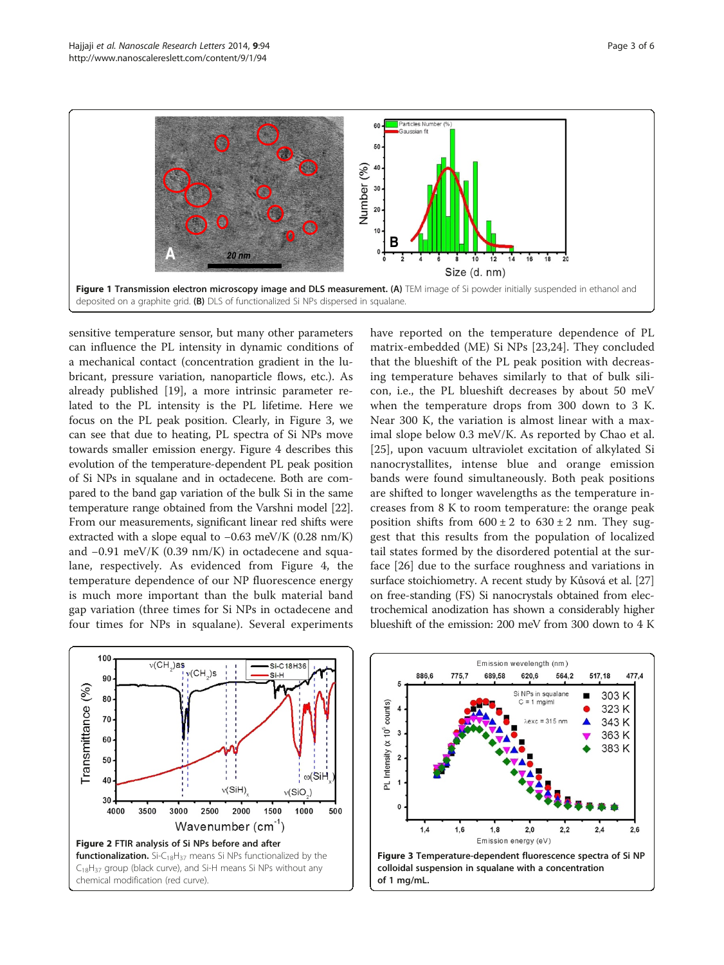<span id="page-2-0"></span>

sensitive temperature sensor, but many other parameters can influence the PL intensity in dynamic conditions of a mechanical contact (concentration gradient in the lubricant, pressure variation, nanoparticle flows, etc.). As already published [\[19](#page-5-0)], a more intrinsic parameter related to the PL intensity is the PL lifetime. Here we focus on the PL peak position. Clearly, in Figure 3, we can see that due to heating, PL spectra of Si NPs move towards smaller emission energy. Figure [4](#page-3-0) describes this evolution of the temperature-dependent PL peak position of Si NPs in squalane and in octadecene. Both are compared to the band gap variation of the bulk Si in the same temperature range obtained from the Varshni model [[22](#page-5-0)]. From our measurements, significant linear red shifts were extracted with a slope equal to −0.63 meV/K (0.28 nm/K) and −0.91 meV/K (0.39 nm/K) in octadecene and squalane, respectively. As evidenced from Figure [4,](#page-3-0) the temperature dependence of our NP fluorescence energy is much more important than the bulk material band gap variation (three times for Si NPs in octadecene and four times for NPs in squalane). Several experiments

have reported on the temperature dependence of PL matrix-embedded (ME) Si NPs [[23,24](#page-5-0)]. They concluded that the blueshift of the PL peak position with decreasing temperature behaves similarly to that of bulk silicon, i.e., the PL blueshift decreases by about 50 meV when the temperature drops from 300 down to 3 K. Near 300 K, the variation is almost linear with a maximal slope below 0.3 meV/K. As reported by Chao et al. [[25](#page-5-0)], upon vacuum ultraviolet excitation of alkylated Si nanocrystallites, intense blue and orange emission bands were found simultaneously. Both peak positions are shifted to longer wavelengths as the temperature increases from 8 K to room temperature: the orange peak position shifts from  $600 \pm 2$  to  $630 \pm 2$  nm. They suggest that this results from the population of localized tail states formed by the disordered potential at the surface [[26\]](#page-5-0) due to the surface roughness and variations in surface stoichiometry. A recent study by Kůsová et al. [[27](#page-5-0)] on free-standing (FS) Si nanocrystals obtained from electrochemical anodization has shown a considerably higher blueshift of the emission: 200 meV from 300 down to 4 K



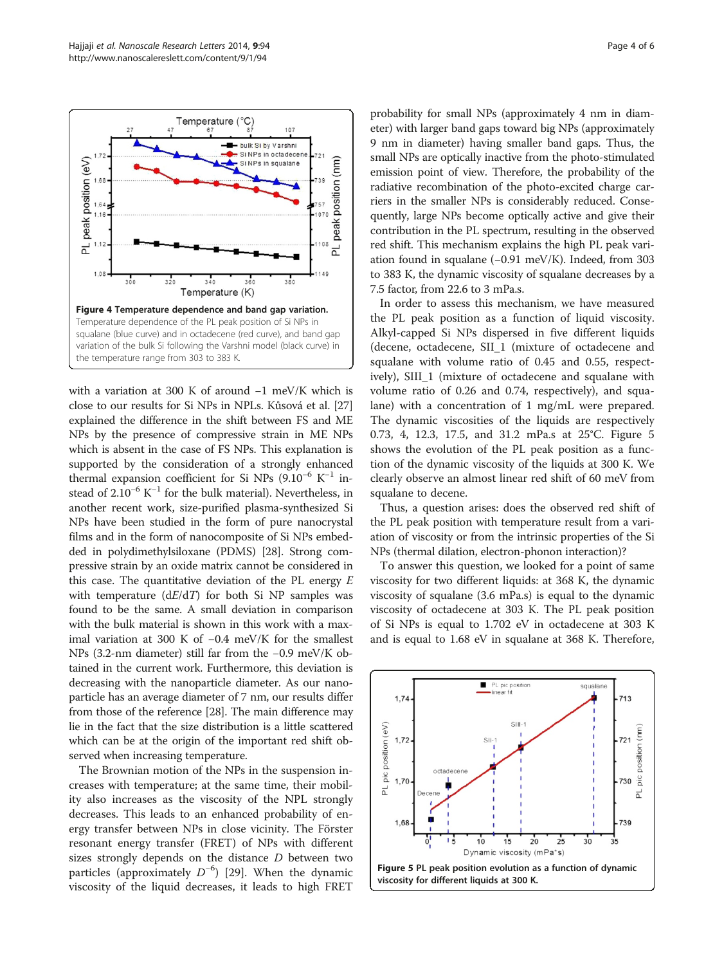<span id="page-3-0"></span>

with a variation at 300 K of around −1 meV/K which is close to our results for Si NPs in NPLs. Kůsová et al. [[27](#page-5-0)] explained the difference in the shift between FS and ME NPs by the presence of compressive strain in ME NPs which is absent in the case of FS NPs. This explanation is supported by the consideration of a strongly enhanced thermal expansion coefficient for Si NPs ( $9.10^{-6}$  K<sup>-1</sup> instead of 2.10<sup>-6</sup> K<sup>-1</sup> for the bulk material). Nevertheless, in another recent work, size-purified plasma-synthesized Si NPs have been studied in the form of pure nanocrystal films and in the form of nanocomposite of Si NPs embedded in polydimethylsiloxane (PDMS) [\[28](#page-5-0)]. Strong compressive strain by an oxide matrix cannot be considered in this case. The quantitative deviation of the PL energy  $E$ with temperature  $(dE/dT)$  for both Si NP samples was found to be the same. A small deviation in comparison with the bulk material is shown in this work with a maximal variation at 300 K of −0.4 meV/K for the smallest NPs (3.2-nm diameter) still far from the −0.9 meV/K obtained in the current work. Furthermore, this deviation is decreasing with the nanoparticle diameter. As our nanoparticle has an average diameter of 7 nm, our results differ from those of the reference [\[28\]](#page-5-0). The main difference may lie in the fact that the size distribution is a little scattered which can be at the origin of the important red shift observed when increasing temperature.

The Brownian motion of the NPs in the suspension increases with temperature; at the same time, their mobility also increases as the viscosity of the NPL strongly decreases. This leads to an enhanced probability of energy transfer between NPs in close vicinity. The Förster resonant energy transfer (FRET) of NPs with different sizes strongly depends on the distance  $D$  between two particles (approximately  $D^{-6}$ ) [\[29](#page-5-0)]. When the dynamic<br>viscosity of the liquid decreases it leads to bigh ERET viscosity of the liquid decreases, it leads to high FRET

probability for small NPs (approximately 4 nm in diameter) with larger band gaps toward big NPs (approximately 9 nm in diameter) having smaller band gaps. Thus, the small NPs are optically inactive from the photo-stimulated emission point of view. Therefore, the probability of the radiative recombination of the photo-excited charge carriers in the smaller NPs is considerably reduced. Consequently, large NPs become optically active and give their contribution in the PL spectrum, resulting in the observed red shift. This mechanism explains the high PL peak variation found in squalane (−0.91 meV/K). Indeed, from 303 to 383 K, the dynamic viscosity of squalane decreases by a 7.5 factor, from 22.6 to 3 mPa.s.

In order to assess this mechanism, we have measured the PL peak position as a function of liquid viscosity. Alkyl-capped Si NPs dispersed in five different liquids (decene, octadecene, SII\_1 (mixture of octadecene and squalane with volume ratio of 0.45 and 0.55, respectively), SIII\_1 (mixture of octadecene and squalane with volume ratio of 0.26 and 0.74, respectively), and squalane) with a concentration of 1 mg/mL were prepared. The dynamic viscosities of the liquids are respectively 0.73, 4, 12.3, 17.5, and 31.2 mPa.s at 25°C. Figure 5 shows the evolution of the PL peak position as a function of the dynamic viscosity of the liquids at 300 K. We clearly observe an almost linear red shift of 60 meV from squalane to decene.

Thus, a question arises: does the observed red shift of the PL peak position with temperature result from a variation of viscosity or from the intrinsic properties of the Si NPs (thermal dilation, electron-phonon interaction)?

To answer this question, we looked for a point of same viscosity for two different liquids: at 368 K, the dynamic viscosity of squalane (3.6 mPa.s) is equal to the dynamic viscosity of octadecene at 303 K. The PL peak position of Si NPs is equal to 1.702 eV in octadecene at 303 K and is equal to 1.68 eV in squalane at 368 K. Therefore,

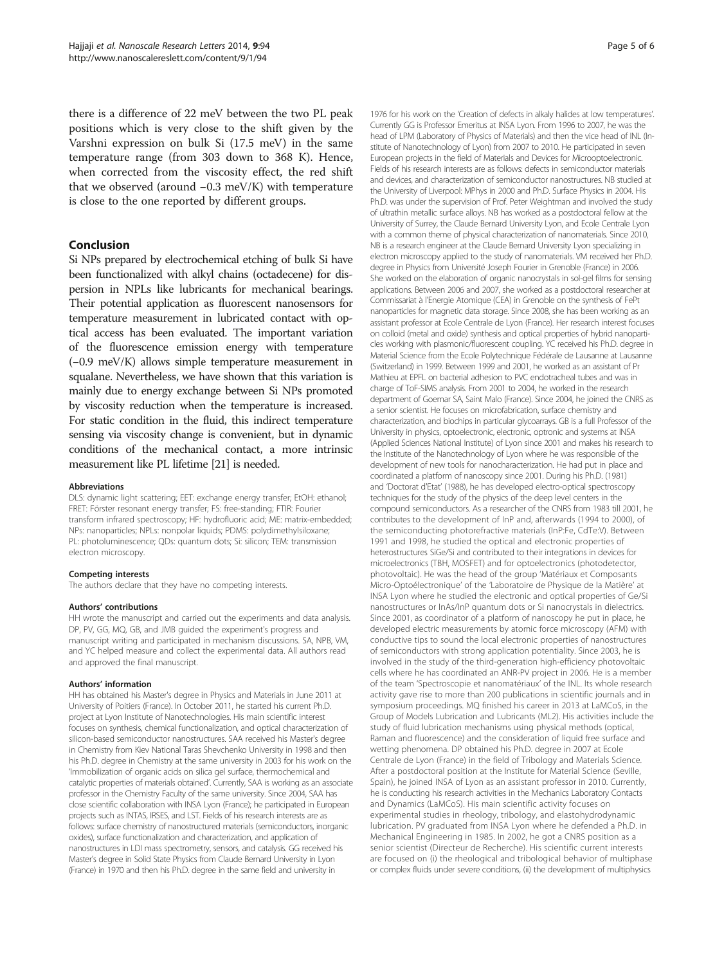there is a difference of 22 meV between the two PL peak positions which is very close to the shift given by the Varshni expression on bulk Si (17.5 meV) in the same temperature range (from 303 down to 368 K). Hence, when corrected from the viscosity effect, the red shift that we observed (around −0.3 meV/K) with temperature is close to the one reported by different groups.

## Conclusion

Si NPs prepared by electrochemical etching of bulk Si have been functionalized with alkyl chains (octadecene) for dispersion in NPLs like lubricants for mechanical bearings. Their potential application as fluorescent nanosensors for temperature measurement in lubricated contact with optical access has been evaluated. The important variation of the fluorescence emission energy with temperature (−0.9 meV/K) allows simple temperature measurement in squalane. Nevertheless, we have shown that this variation is mainly due to energy exchange between Si NPs promoted by viscosity reduction when the temperature is increased. For static condition in the fluid, this indirect temperature sensing via viscosity change is convenient, but in dynamic conditions of the mechanical contact, a more intrinsic measurement like PL lifetime [[21](#page-5-0)] is needed.

#### Abbreviations

DLS: dynamic light scattering; EET: exchange energy transfer; EtOH: ethanol; FRET: Förster resonant energy transfer; FS: free-standing; FTIR: Fourier transform infrared spectroscopy; HF: hydrofluoric acid; ME: matrix-embedded; NPs: nanoparticles; NPLs: nonpolar liquids; PDMS: polydimethylsiloxane; PL: photoluminescence; QDs: quantum dots; Si: silicon; TEM: transmission electron microscopy.

#### Competing interests

The authors declare that they have no competing interests.

#### Authors' contributions

HH wrote the manuscript and carried out the experiments and data analysis. DP, PV, GG, MQ, GB, and JMB guided the experiment's progress and manuscript writing and participated in mechanism discussions. SA, NPB, VM, and YC helped measure and collect the experimental data. All authors read and approved the final manuscript.

#### Authors' information

HH has obtained his Master's degree in Physics and Materials in June 2011 at University of Poitiers (France). In October 2011, he started his current Ph.D. project at Lyon Institute of Nanotechnologies. His main scientific interest focuses on synthesis, chemical functionalization, and optical characterization of silicon-based semiconductor nanostructures. SAA received his Master's degree in Chemistry from Kiev National Taras Shevchenko University in 1998 and then his Ph.D. degree in Chemistry at the same university in 2003 for his work on the 'Immobilization of organic acids on silica gel surface, thermochemical and catalytic properties of materials obtained'. Currently, SAA is working as an associate professor in the Chemistry Faculty of the same university. Since 2004, SAA has close scientific collaboration with INSA Lyon (France); he participated in European projects such as INTAS, IRSES, and LST. Fields of his research interests are as follows: surface chemistry of nanostructured materials (semiconductors, inorganic oxides), surface functionalization and characterization, and application of nanostructures in LDI mass spectrometry, sensors, and catalysis. GG received his Master's degree in Solid State Physics from Claude Bernard University in Lyon (France) in 1970 and then his Ph.D. degree in the same field and university in

1976 for his work on the 'Creation of defects in alkaly halides at low temperatures'. Currently GG is Professor Emeritus at INSA Lyon. From 1996 to 2007, he was the head of LPM (Laboratory of Physics of Materials) and then the vice head of INL (Institute of Nanotechnology of Lyon) from 2007 to 2010. He participated in seven European projects in the field of Materials and Devices for Microoptoelectronic. Fields of his research interests are as follows: defects in semiconductor materials and devices, and characterization of semiconductor nanostructures. NB studied at the University of Liverpool: MPhys in 2000 and Ph.D. Surface Physics in 2004. His Ph.D. was under the supervision of Prof. Peter Weightman and involved the study of ultrathin metallic surface alloys. NB has worked as a postdoctoral fellow at the University of Surrey, the Claude Bernard University Lyon, and Ecole Centrale Lyon with a common theme of physical characterization of nanomaterials. Since 2010, NB is a research engineer at the Claude Bernard University Lyon specializing in electron microscopy applied to the study of nanomaterials. VM received her Ph.D. degree in Physics from Université Joseph Fourier in Grenoble (France) in 2006. She worked on the elaboration of organic nanocrystals in sol-gel films for sensing applications. Between 2006 and 2007, she worked as a postdoctoral researcher at Commissariat à l'Energie Atomique (CEA) in Grenoble on the synthesis of FePt nanoparticles for magnetic data storage. Since 2008, she has been working as an assistant professor at Ecole Centrale de Lyon (France). Her research interest focuses on colloid (metal and oxide) synthesis and optical properties of hybrid nanoparticles working with plasmonic/fluorescent coupling. YC received his Ph.D. degree in Material Science from the Ecole Polytechnique Fédérale de Lausanne at Lausanne (Switzerland) in 1999. Between 1999 and 2001, he worked as an assistant of Pr Mathieu at EPFL on bacterial adhesion to PVC endotracheal tubes and was in charge of ToF-SIMS analysis. From 2001 to 2004, he worked in the research department of Goemar SA, Saint Malo (France). Since 2004, he joined the CNRS as a senior scientist. He focuses on microfabrication, surface chemistry and characterization, and biochips in particular glycoarrays. GB is a full Professor of the University in physics, optoelectronic, electronic, optronic and systems at INSA (Applied Sciences National Institute) of Lyon since 2001 and makes his research to the Institute of the Nanotechnology of Lyon where he was responsible of the development of new tools for nanocharacterization. He had put in place and coordinated a platform of nanoscopy since 2001. During his Ph.D. (1981) and 'Doctorat d'Etat' (1988), he has developed electro-optical spectroscopy techniques for the study of the physics of the deep level centers in the compound semiconductors. As a researcher of the CNRS from 1983 till 2001, he contributes to the development of InP and, afterwards (1994 to 2000), of the semiconducting photorefractive materials (InP:Fe, CdTe:V). Between 1991 and 1998, he studied the optical and electronic properties of heterostructures SiGe/Si and contributed to their integrations in devices for microelectronics (TBH, MOSFET) and for optoelectronics (photodetector, photovoltaic). He was the head of the group 'Matériaux et Composants Micro-Optoélectronique' of the 'Laboratoire de Physique de la Matière' at INSA Lyon where he studied the electronic and optical properties of Ge/Si nanostructures or InAs/InP quantum dots or Si nanocrystals in dielectrics. Since 2001, as coordinator of a platform of nanoscopy he put in place, he developed electric measurements by atomic force microscopy (AFM) with conductive tips to sound the local electronic properties of nanostructures of semiconductors with strong application potentiality. Since 2003, he is involved in the study of the third-generation high-efficiency photovoltaic cells where he has coordinated an ANR-PV project in 2006. He is a member of the team 'Spectroscopie et nanomatériaux' of the INL. Its whole research activity gave rise to more than 200 publications in scientific journals and in symposium proceedings. MQ finished his career in 2013 at LaMCoS, in the Group of Models Lubrication and Lubricants (ML2). His activities include the study of fluid lubrication mechanisms using physical methods (optical, Raman and fluorescence) and the consideration of liquid free surface and wetting phenomena. DP obtained his Ph.D. degree in 2007 at Ecole Centrale de Lyon (France) in the field of Tribology and Materials Science. After a postdoctoral position at the Institute for Material Science (Seville, Spain), he joined INSA of Lyon as an assistant professor in 2010. Currently, he is conducting his research activities in the Mechanics Laboratory Contacts and Dynamics (LaMCoS). His main scientific activity focuses on experimental studies in rheology, tribology, and elastohydrodynamic lubrication. PV graduated from INSA Lyon where he defended a Ph.D. in Mechanical Engineering in 1985. In 2002, he got a CNRS position as a senior scientist (Directeur de Recherche). His scientific current interests are focused on (i) the rheological and tribological behavior of multiphase or complex fluids under severe conditions, (ii) the development of multiphysics